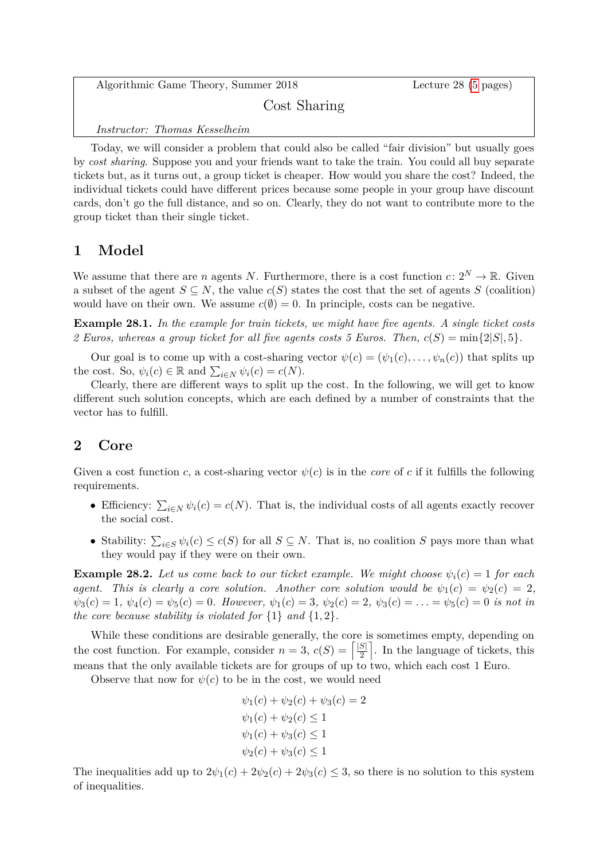Algorithmic Game Theory, Summer 2018 Lecture 28 [\(5](#page-4-0) pages)

Cost Sharing

*Instructor: Thomas Kesselheim*

Today, we will consider a problem that could also be called "fair division" but usually goes by *cost sharing*. Suppose you and your friends want to take the train. You could all buy separate tickets but, as it turns out, a group ticket is cheaper. How would you share the cost? Indeed, the individual tickets could have different prices because some people in your group have discount cards, don't go the full distance, and so on. Clearly, they do not want to contribute more to the group ticket than their single ticket.

### **1 Model**

We assume that there are *n* agents *N*. Furthermore, there is a cost function  $c: 2^N \to \mathbb{R}$ . Given a subset of the agent  $S \subseteq N$ , the value  $c(S)$  states the cost that the set of agents *S* (coalition) would have on their own. We assume  $c(\emptyset) = 0$ . In principle, costs can be negative.

**Example 28.1.** *In the example for train tickets, we might have five agents. A single ticket costs 2 Euros, whereas a group ticket for all five agents costs 5 Euros. Then,*  $c(S) = \min\{2|S|, 5\}$ .

Our goal is to come up with a cost-sharing vector  $\psi(c) = (\psi_1(c), \dots, \psi_n(c))$  that splits up the cost. So,  $\psi_i(c) \in \mathbb{R}$  and  $\sum_{i \in N} \psi_i(c) = c(N)$ .

Clearly, there are different ways to split up the cost. In the following, we will get to know different such solution concepts, which are each defined by a number of constraints that the vector has to fulfill.

## **2 Core**

Given a cost function *c*, a cost-sharing vector  $\psi(c)$  is in the *core* of *c* if it fulfills the following requirements.

- Efficiency:  $\sum_{i \in N} \psi_i(c) = c(N)$ . That is, the individual costs of all agents exactly recover the social cost.
- Stability:  $\sum_{i \in S} \psi_i(c) \leq c(S)$  for all  $S \subseteq N$ . That is, no coalition *S* pays more than what they would pay if they were on their own.

**Example 28.2.** Let us come back to our ticket example. We might choose  $\psi_i(c) = 1$  for each *agent.* This is clearly a core solution. Another core solution would be  $\psi_1(c) = \psi_2(c) = 2$ ,  $\psi_3(c) = 1, \ \psi_4(c) = \psi_5(c) = 0.$  However,  $\psi_1(c) = 3, \ \psi_2(c) = 2, \ \psi_3(c) = \ldots = \psi_5(c) = 0$  is not in *the core because stability is violated for*  $\{1\}$  *and*  $\{1, 2\}$ *.* 

While these conditions are desirable generally, the core is sometimes empty, depending on the cost function. For example, consider  $n = 3$ ,  $c(S) = \lceil \frac{|S|}{2} \rceil$  $\frac{|S|}{2}$ . In the language of tickets, this means that the only available tickets are for groups of up to two, which each cost 1 Euro.

Observe that now for  $\psi(c)$  to be in the cost, we would need

$$
\psi_1(c) + \psi_2(c) + \psi_3(c) = 2
$$
  

$$
\psi_1(c) + \psi_2(c) \le 1
$$
  

$$
\psi_1(c) + \psi_3(c) \le 1
$$
  

$$
\psi_2(c) + \psi_3(c) \le 1
$$

The inequalities add up to  $2\psi_1(c) + 2\psi_2(c) + 2\psi_3(c) \leq 3$ , so there is no solution to this system of inequalities.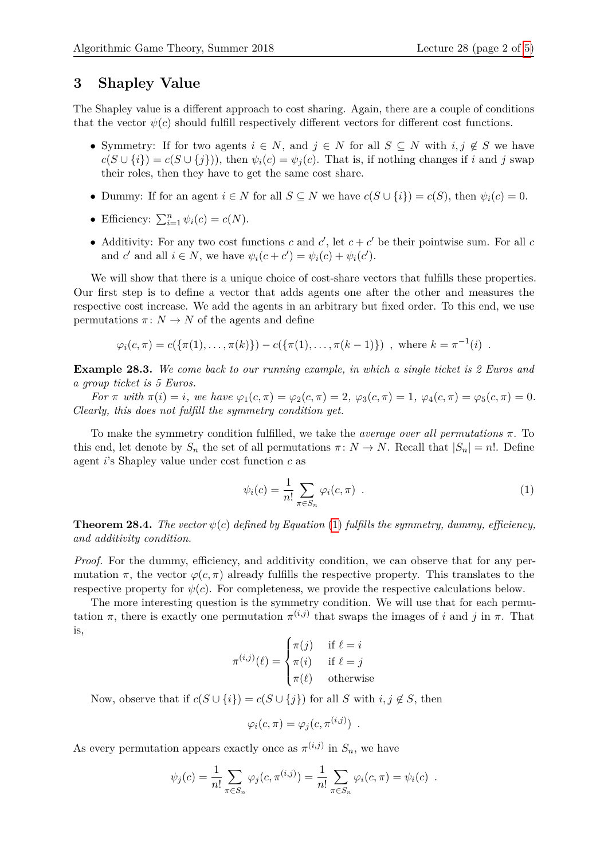#### **3 Shapley Value**

The Shapley value is a different approach to cost sharing. Again, there are a couple of conditions that the vector  $\psi(c)$  should fulfill respectively different vectors for different cost functions.

- Symmetry: If for two agents  $i \in N$ , and  $j \in N$  for all  $S \subseteq N$  with  $i, j \notin S$  we have  $c(S \cup \{i\}) = c(S \cup \{j\})$ , then  $\psi_i(c) = \psi_i(c)$ . That is, if nothing changes if *i* and *j* swap their roles, then they have to get the same cost share.
- Dummy: If for an agent  $i \in N$  for all  $S \subseteq N$  we have  $c(S \cup \{i\}) = c(S)$ , then  $\psi_i(c) = 0$ .
- Efficiency:  $\sum_{i=1}^{n} \psi_i(c) = c(N)$ .
- Additivity: For any two cost functions *c* and  $c'$ , let  $c + c'$  be their pointwise sum. For all *c* and *c*' and all  $i \in N$ , we have  $\psi_i(c + c') = \psi_i(c) + \psi_i(c')$ .

We will show that there is a unique choice of cost-share vectors that fulfills these properties. Our first step is to define a vector that adds agents one after the other and measures the respective cost increase. We add the agents in an arbitrary but fixed order. To this end, we use permutations  $\pi: N \to N$  of the agents and define

 $\varphi_i(c, \pi) = c(\{\pi(1), \dots, \pi(k)\}) - c(\{\pi(1), \dots, \pi(k-1)\})$ , where  $k = \pi^{-1}(i)$ .

**Example 28.3.** *We come back to our running example, in which a single ticket is 2 Euros and a group ticket is 5 Euros.*

For  $\pi$  with  $\pi(i) = i$ , we have  $\varphi_1(c, \pi) = \varphi_2(c, \pi) = 2$ ,  $\varphi_3(c, \pi) = 1$ ,  $\varphi_4(c, \pi) = \varphi_5(c, \pi) = 0$ . *Clearly, this does not fulfill the symmetry condition yet.*

To make the symmetry condition fulfilled, we take the *average over all permutations π*. To this end, let denote by  $S_n$  the set of all permutations  $\pi: N \to N$ . Recall that  $|S_n| = n!$ . Define agent *i*'s Shapley value under cost function *c* as

<span id="page-1-0"></span>
$$
\psi_i(c) = \frac{1}{n!} \sum_{\pi \in S_n} \varphi_i(c, \pi) \tag{1}
$$

**Theorem 28.4.** *The vector*  $\psi(c)$  *defined by Equation* [\(1\)](#page-1-0) *fulfills the symmetry, dummy, efficiency, and additivity condition.*

*Proof.* For the dummy, efficiency, and additivity condition, we can observe that for any permutation  $\pi$ , the vector  $\varphi(c, \pi)$  already fulfills the respective property. This translates to the respective property for  $\psi(c)$ . For completeness, we provide the respective calculations below.

The more interesting question is the symmetry condition. We will use that for each permutation  $\pi$ , there is exactly one permutation  $\pi^{(i,j)}$  that swaps the images of *i* and *j* in  $\pi$ . That is,  $\overline{1}$ 

$$
\pi^{(i,j)}(\ell) = \begin{cases} \pi(j) & \text{if } \ell = i \\ \pi(i) & \text{if } \ell = j \\ \pi(\ell) & \text{otherwise} \end{cases}
$$

Now, observe that if  $c(S \cup \{i\}) = c(S \cup \{j\})$  for all *S* with  $i, j \notin S$ , then

$$
\varphi_i(c,\pi) = \varphi_j(c,\pi^{(i,j)}) .
$$

As every permutation appears exactly once as  $\pi^{(i,j)}$  in  $S_n$ , we have

$$
\psi_j(c) = \frac{1}{n!} \sum_{\pi \in S_n} \varphi_j(c, \pi^{(i,j)}) = \frac{1}{n!} \sum_{\pi \in S_n} \varphi_i(c, \pi) = \psi_i(c) .
$$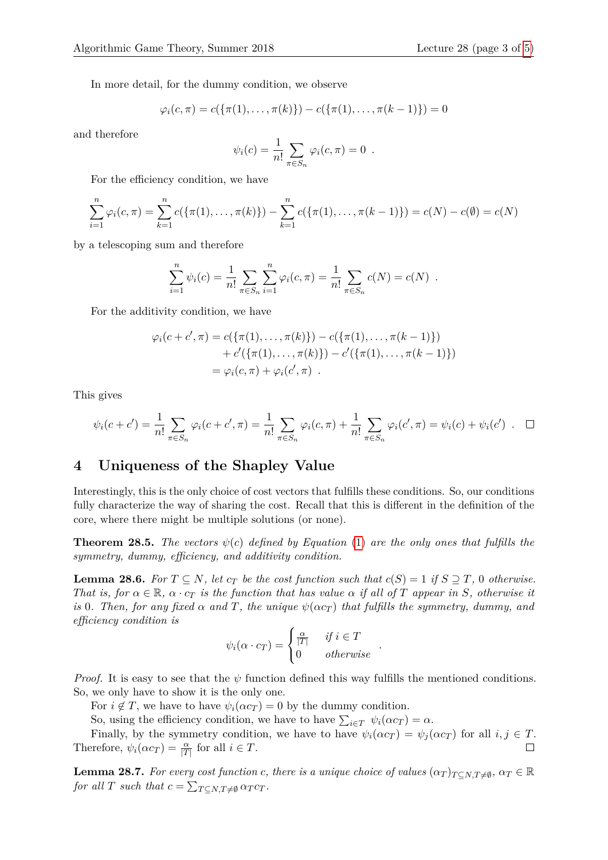In more detail, for the dummy condition, we observe

$$
\varphi_i(c,\pi) = c(\{\pi(1),\ldots,\pi(k)\}) - c(\{\pi(1),\ldots,\pi(k-1)\}) = 0
$$

and therefore

$$
\psi_i(c) = \frac{1}{n!} \sum_{\pi \in S_n} \varphi_i(c, \pi) = 0.
$$

For the efficiency condition, we have

$$
\sum_{i=1}^{n} \varphi_i(c, \pi) = \sum_{k=1}^{n} c(\{\pi(1), \dots, \pi(k)\}) - \sum_{k=1}^{n} c(\{\pi(1), \dots, \pi(k-1)\}) = c(N) - c(\emptyset) = c(N)
$$

by a telescoping sum and therefore

$$
\sum_{i=1}^{n} \psi_i(c) = \frac{1}{n!} \sum_{\pi \in S_n} \sum_{i=1}^{n} \varphi_i(c, \pi) = \frac{1}{n!} \sum_{\pi \in S_n} c(N) = c(N) .
$$

For the additivity condition, we have

$$
\varphi_i(c + c', \pi) = c(\{\pi(1), \dots, \pi(k)\}) - c(\{\pi(1), \dots, \pi(k-1)\}) + c'(\{\pi(1), \dots, \pi(k)\}) - c'(\{\pi(1), \dots, \pi(k-1)\}) = \varphi_i(c, \pi) + \varphi_i(c', \pi) .
$$

This gives

$$
\psi_i(c+c') = \frac{1}{n!} \sum_{\pi \in S_n} \varphi_i(c+c',\pi) = \frac{1}{n!} \sum_{\pi \in S_n} \varphi_i(c,\pi) + \frac{1}{n!} \sum_{\pi \in S_n} \varphi_i(c',\pi) = \psi_i(c) + \psi_i(c') \quad \Box
$$

## **4 Uniqueness of the Shapley Value**

Interestingly, this is the only choice of cost vectors that fulfills these conditions. So, our conditions fully characterize the way of sharing the cost. Recall that this is different in the definition of the core, where there might be multiple solutions (or none).

<span id="page-2-1"></span>**Theorem 28.5.** *The vectors*  $\psi(c)$  *defined by Equation* [\(1\)](#page-1-0) *are the only ones that fulfills the symmetry, dummy, efficiency, and additivity condition.*

<span id="page-2-2"></span>**Lemma 28.6.** For  $T \subseteq N$ , let  $c_T$  be the cost function such that  $c(S) = 1$  if  $S \supseteq T$ , 0 otherwise. *That is, for*  $\alpha \in \mathbb{R}$ ,  $\alpha \cdot c_T$  *is the function that has value*  $\alpha$  *if all of T appear in S, otherwise it is* 0*. Then, for any fixed*  $\alpha$  *and*  $T$ *, the unique*  $\psi(\alpha c_T)$  *that fulfills the symmetry, dummy, and efficiency condition is*

$$
\psi_i(\alpha \cdot c_T) = \begin{cases} \frac{\alpha}{|T|} & \text{if } i \in T \\ 0 & \text{otherwise} \end{cases}
$$

*.*

*Proof.* It is easy to see that the *ψ* function defined this way fulfills the mentioned conditions. So, we only have to show it is the only one.

For  $i \notin T$ , we have to have  $\psi_i(\alpha c_T) = 0$  by the dummy condition.

So, using the efficiency condition, we have to have  $\sum_{i \in T} \psi_i(\alpha c_T) = \alpha$ .

Finally, by the symmetry condition, we have to have  $\psi_i(\alpha c_T) = \psi_i(\alpha c_T)$  for all  $i, j \in T$ . Therefore,  $\psi_i(\alpha c_T) = \frac{\alpha}{|T|}$  for all  $i \in T$ .

<span id="page-2-0"></span>**Lemma 28.7.** For every cost function *c*, there is a unique choice of values  $(\alpha_T)_{T \subseteq N, T \neq \emptyset}$ ,  $\alpha_T \in \mathbb{R}$ *for all T such that*  $c = \sum_{T \subseteq N, T \neq \emptyset} \alpha_T c_T$ .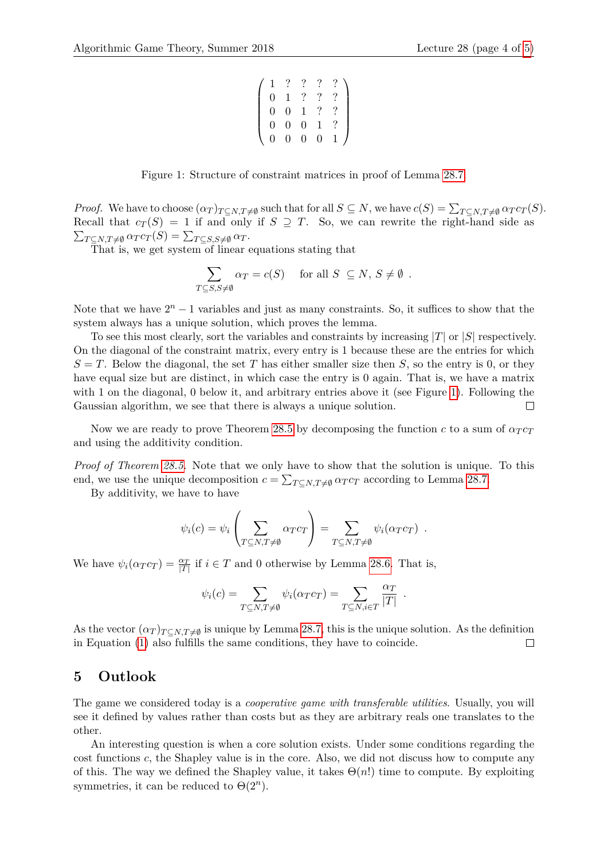| $\Omega$       |                  |                |              |  |
|----------------|------------------|----------------|--------------|--|
| $\mathbf{I}$   | $\overline{0}$   |                |              |  |
| $\overline{0}$ | $\boldsymbol{0}$ | $\overline{0}$ | 1            |  |
| 0              | 0                | 0              | $\mathbf{0}$ |  |

Figure 1: Structure of constraint matrices in proof of Lemma [28.7.](#page-2-0)

<span id="page-3-0"></span>*Proof.* We have to choose  $(\alpha_T)_{T \subseteq N, T \neq \emptyset}$  such that for all  $S \subseteq N$ , we have  $c(S) = \sum_{T \subseteq N, T \neq \emptyset} \alpha_T c_T(S)$ . Recall that  $c_T(S) = 1$  if and only if  $S \supseteq T$ . So, we can rewrite the right-hand side as  $\sum_{T \subseteq N, T \neq \emptyset} \alpha_T c_T(S) = \sum_{T \subseteq S, S \neq \emptyset} \alpha_T.$ 

That is, we get system of linear equations stating that

$$
\sum_{T \subseteq S, S \neq \emptyset} \alpha_T = c(S) \quad \text{ for all } S \subseteq N, S \neq \emptyset.
$$

Note that we have  $2^n - 1$  variables and just as many constraints. So, it suffices to show that the system always has a unique solution, which proves the lemma.

To see this most clearly, sort the variables and constraints by increasing |*T*| or |*S*| respectively. On the diagonal of the constraint matrix, every entry is 1 because these are the entries for which  $S = T$ . Below the diagonal, the set *T* has either smaller size then *S*, so the entry is 0, or they have equal size but are distinct, in which case the entry is 0 again. That is, we have a matrix with 1 on the diagonal, 0 below it, and arbitrary entries above it (see Figure [1\)](#page-3-0). Following the Gaussian algorithm, we see that there is always a unique solution.  $\Box$ 

Now we are ready to prove Theorem [28.5](#page-2-1) by decomposing the function *c* to a sum of  $\alpha_T c_T$ and using the additivity condition.

*Proof of Theorem [28.5.](#page-2-1)* Note that we only have to show that the solution is unique. To this end, we use the unique decomposition  $c = \sum_{T \subseteq N, T \neq \emptyset} \alpha_T c_T$  according to Lemma [28.7.](#page-2-0)

By additivity, we have to have

$$
\psi_i(c) = \psi_i \left( \sum_{T \subseteq N, T \neq \emptyset} \alpha_T c_T \right) = \sum_{T \subseteq N, T \neq \emptyset} \psi_i(\alpha_T c_T) .
$$

We have  $\psi_i(\alpha_T c_T) = \frac{\alpha_T}{|T|}$  if  $i \in T$  and 0 otherwise by Lemma [28.6.](#page-2-2) That is,

$$
\psi_i(c) = \sum_{T \subseteq N, T \neq \emptyset} \psi_i(\alpha_T c_T) = \sum_{T \subseteq N, i \in T} \frac{\alpha_T}{|T|} .
$$

As the vector  $(\alpha_T)_{T \subseteq N, T \neq \emptyset}$  is unique by Lemma [28.7,](#page-2-0) this is the unique solution. As the definition in Equation [\(1\)](#page-1-0) also fulfills the same conditions, they have to coincide.  $\Box$ 

#### **5 Outlook**

The game we considered today is a *cooperative game with transferable utilities*. Usually, you will see it defined by values rather than costs but as they are arbitrary reals one translates to the other.

An interesting question is when a core solution exists. Under some conditions regarding the cost functions *c*, the Shapley value is in the core. Also, we did not discuss how to compute any of this. The way we defined the Shapley value, it takes  $\Theta(n!)$  time to compute. By exploiting symmetries, it can be reduced to  $\Theta(2^n)$ .